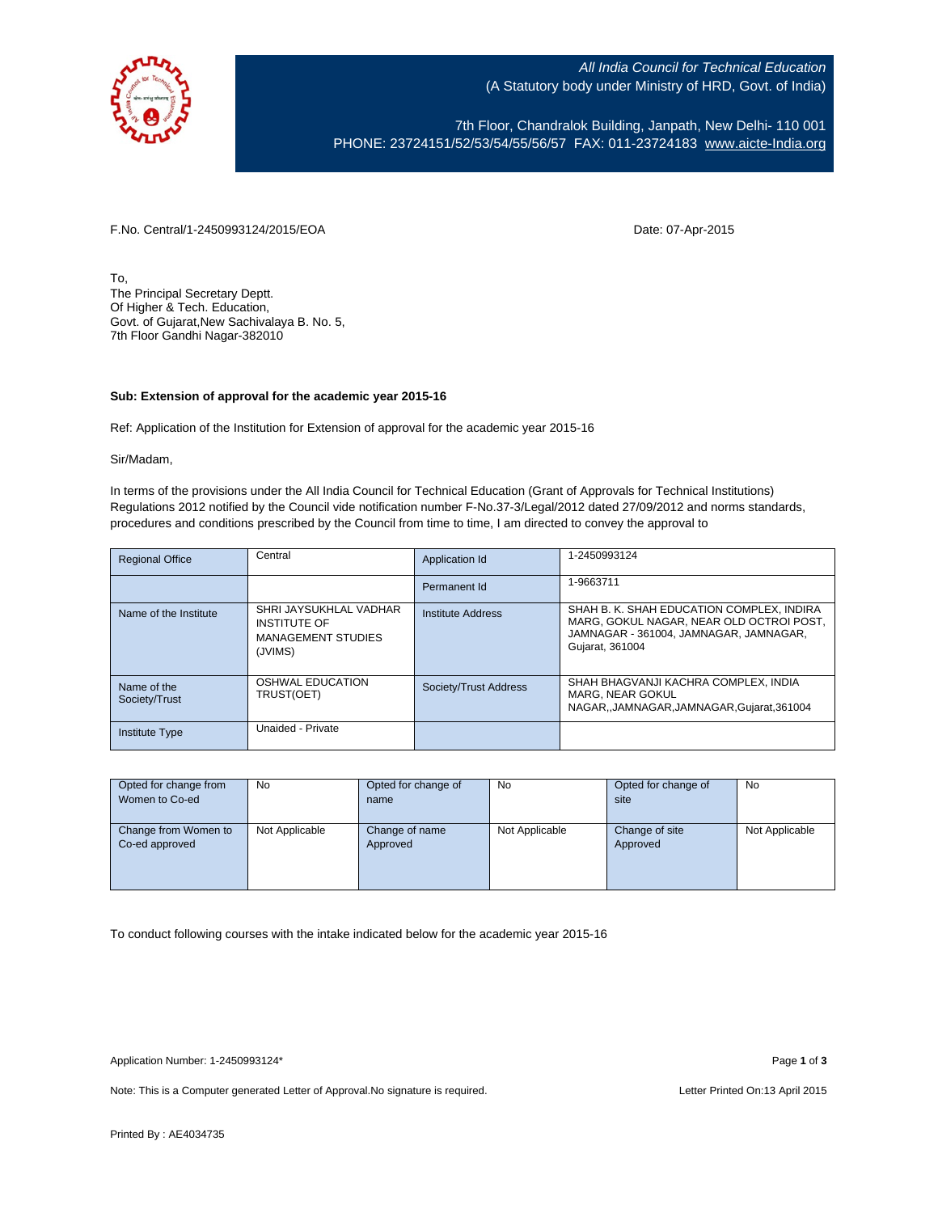

All India Council for Technical Education (A Statutory body under Ministry of HRD, Govt. of India)

7th Floor, Chandralok Building, Janpath, New Delhi- 110 001 PHONE: 23724151/52/53/54/55/56/57 FAX: 011-23724183 [www.aicte-India.org](http://www.aicte-india.org/)

F.No. Central/1-2450993124/2015/EOA Date: 07-Apr-2015

To, The Principal Secretary Deptt. Of Higher & Tech. Education, Govt. of Gujarat,New Sachivalaya B. No. 5, 7th Floor Gandhi Nagar-382010

## **Sub: Extension of approval for the academic year 2015-16**

Ref: Application of the Institution for Extension of approval for the academic year 2015-16

Sir/Madam,

In terms of the provisions under the All India Council for Technical Education (Grant of Approvals for Technical Institutions) Regulations 2012 notified by the Council vide notification number F-No.37-3/Legal/2012 dated 27/09/2012 and norms standards, procedures and conditions prescribed by the Council from time to time, I am directed to convey the approval to

| <b>Regional Office</b>       | Central                                                                               | Application Id        | 1-2450993124                                                                                                                                       |
|------------------------------|---------------------------------------------------------------------------------------|-----------------------|----------------------------------------------------------------------------------------------------------------------------------------------------|
|                              |                                                                                       | Permanent Id          | 1-9663711                                                                                                                                          |
| Name of the Institute        | SHRI JAYSUKHLAL VADHAR<br><b>INSTITUTE OF</b><br><b>MANAGEMENT STUDIES</b><br>(JVIMS) | Institute Address     | SHAH B. K. SHAH EDUCATION COMPLEX. INDIRA<br>MARG, GOKUL NAGAR, NEAR OLD OCTROI POST,<br>JAMNAGAR - 361004, JAMNAGAR, JAMNAGAR,<br>Gujarat, 361004 |
| Name of the<br>Society/Trust | OSHWAL EDUCATION<br>TRUST(OET)                                                        | Society/Trust Address | SHAH BHAGVANJI KACHRA COMPLEX, INDIA<br>MARG. NEAR GOKUL<br>NAGAR, JAMNAGAR, JAMNAGAR, Gujarat, 361004                                             |
| <b>Institute Type</b>        | Unaided - Private                                                                     |                       |                                                                                                                                                    |

| Opted for change from<br>Women to Co-ed | <b>No</b>      | Opted for change of<br>name |                | Opted for change of<br>site | <b>No</b>      |  |
|-----------------------------------------|----------------|-----------------------------|----------------|-----------------------------|----------------|--|
|                                         |                |                             |                |                             |                |  |
| Change from Women to                    | Not Applicable | Change of name              | Not Applicable | Change of site              | Not Applicable |  |
| Co-ed approved                          |                | Approved                    |                | Approved                    |                |  |
|                                         |                |                             |                |                             |                |  |
|                                         |                |                             |                |                             |                |  |
|                                         |                |                             |                |                             |                |  |

To conduct following courses with the intake indicated below for the academic year 2015-16

Note: This is a Computer generated Letter of Approval. No signature is required. Letter Printed On:13 April 2015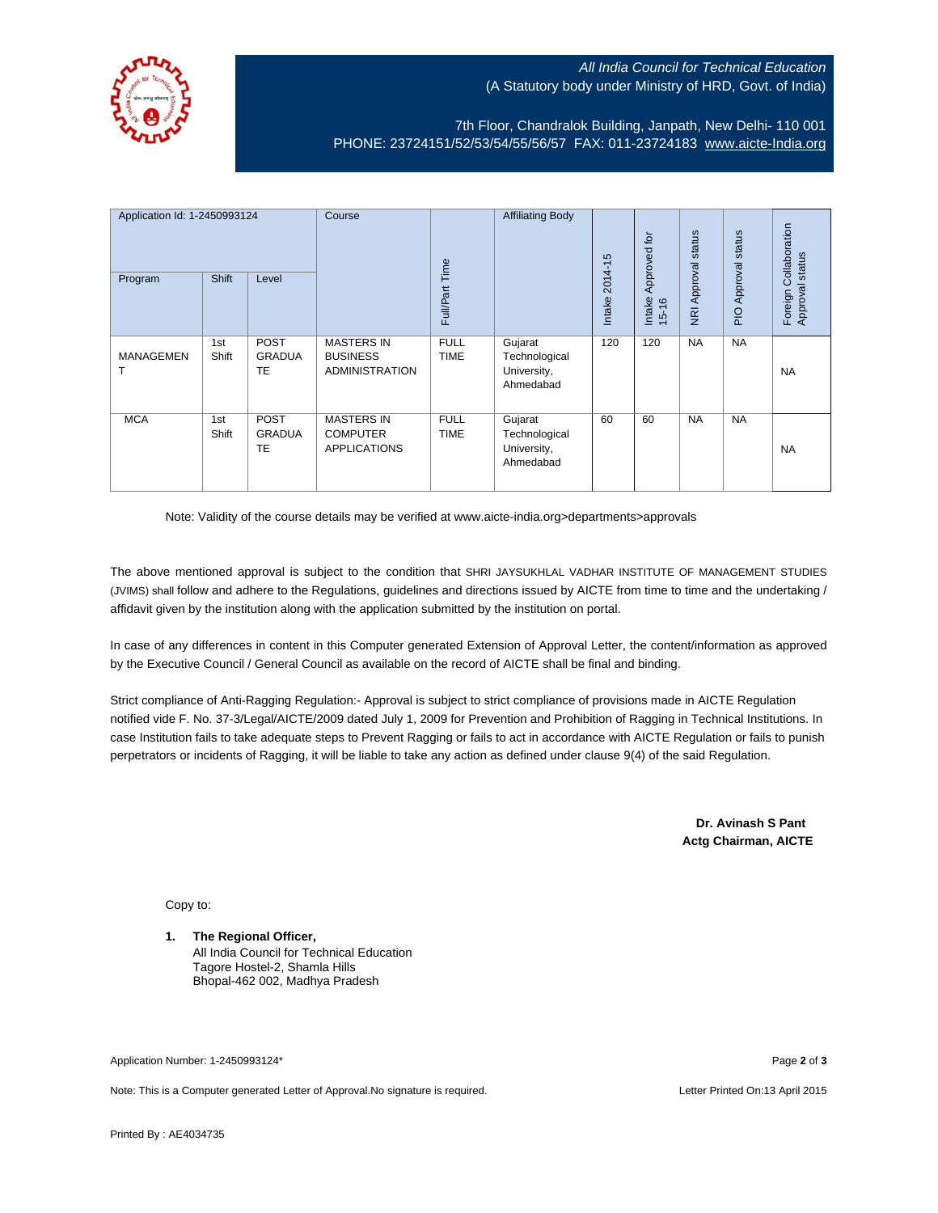## All India Council for Technical Education (A Statutory body under Ministry of HRD, Govt. of India)

7th Floor, Chandralok Building, Janpath, New Delhi- 110 001 PHONE: 23724151/52/53/54/55/56/57 FAX: 011-23724183 [www.aicte-India.org](http://www.aicte-india.org/)

| Application Id: 1-2450993124<br>Program | <b>Shift</b> | Level                                     | Course                                                        | Full/Part Time             | <b>Affiliating Body</b>                              | $2014 - 15$<br>Intake | Approved for<br>Intake<br>$15 - 16$ | status<br>NRI Approval | status<br>Approval<br>$\frac{1}{2}$ | Collaboration<br>status<br>Approval<br>Foreign |
|-----------------------------------------|--------------|-------------------------------------------|---------------------------------------------------------------|----------------------------|------------------------------------------------------|-----------------------|-------------------------------------|------------------------|-------------------------------------|------------------------------------------------|
| <b>MANAGEMEN</b>                        | 1st<br>Shift | <b>POST</b><br><b>GRADUA</b><br>TE        | <b>MASTERS IN</b><br><b>BUSINESS</b><br><b>ADMINISTRATION</b> | <b>FULL</b><br><b>TIME</b> | Gujarat<br>Technological<br>University,<br>Ahmedabad | 120                   | 120                                 | <b>NA</b>              | <b>NA</b>                           | NA                                             |
| <b>MCA</b>                              | 1st<br>Shift | <b>POST</b><br><b>GRADUA</b><br><b>TE</b> | <b>MASTERS IN</b><br><b>COMPUTER</b><br><b>APPLICATIONS</b>   | <b>FULL</b><br><b>TIME</b> | Gujarat<br>Technological<br>University,<br>Ahmedabad | 60                    | 60                                  | <b>NA</b>              | <b>NA</b>                           | <b>NA</b>                                      |

Note: Validity of the course details may be verified at www.aicte-india.org>departments>approvals

The above mentioned approval is subject to the condition that SHRI JAYSUKHLAL VADHAR INSTITUTE OF MANAGEMENT STUDIES (JVIMS) shall follow and adhere to the Regulations, guidelines and directions issued by AICTE from time to time and the undertaking / affidavit given by the institution along with the application submitted by the institution on portal.

In case of any differences in content in this Computer generated Extension of Approval Letter, the content/information as approved by the Executive Council / General Council as available on the record of AICTE shall be final and binding.

Strict compliance of Anti-Ragging Regulation:- Approval is subject to strict compliance of provisions made in AICTE Regulation notified vide F. No. 37-3/Legal/AICTE/2009 dated July 1, 2009 for Prevention and Prohibition of Ragging in Technical Institutions. In case Institution fails to take adequate steps to Prevent Ragging or fails to act in accordance with AICTE Regulation or fails to punish perpetrators or incidents of Ragging, it will be liable to take any action as defined under clause 9(4) of the said Regulation.

> **Dr. Avinash S Pant Actg Chairman, AICTE**

Copy to:

**1. The Regional Officer,** All India Council for Technical Education Tagore Hostel-2, Shamla Hills Bhopal-462 002, Madhya Pradesh

Application Number: 1-2450993124\* Page **2** of **3**

Note: This is a Computer generated Letter of Approval.No signature is required. Letter According the state of the Letter Printed On:13 April 2015